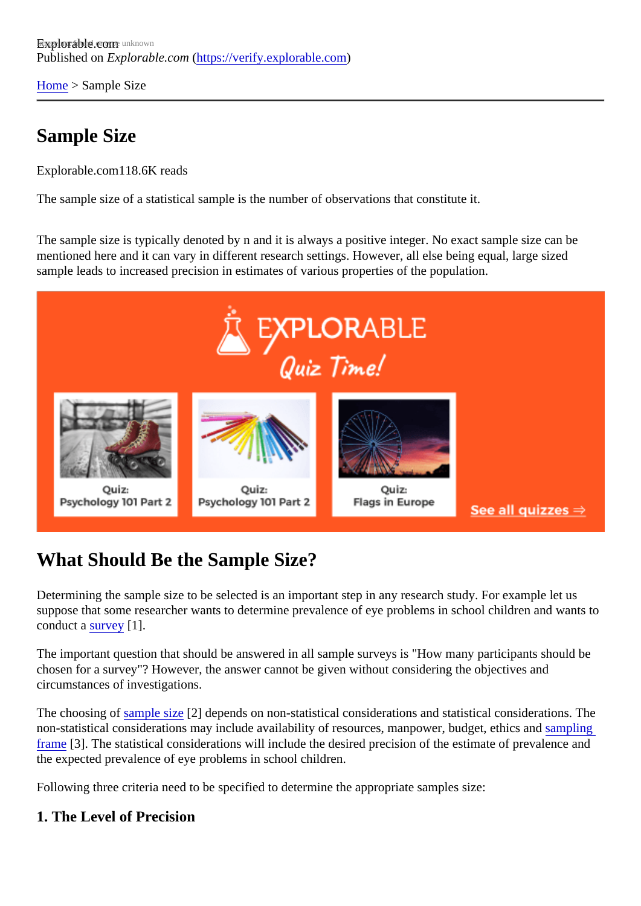[Home](https://verify.explorable.com/)> Sample Size

## Sample Size

Explorable.com118.6K reads

The sample size of a statistical sample is the number of observations that constitute it.

The sample size is typically denoted by n and it is always a positive integer. No exact sample size can be mentioned here and it can vary in different research settings. However, all else being equal, large sized sample leads to increased precision in estimates of various properties of the population.

## What Should Be the Sample Size?

Determining the sample size to be selected is an important step in any research study. For example let us suppose that some researcher wants to determine prevalence of eye problems in school children and want conduct asurvey[1].

The important question that should be answered in all sample surveys is "How many participants should be chosen for a survey"? However, the answer cannot be given without considering the objectives and circumstances of investigations.

The choosing of ample size?] depends on non-statistical considerations and statistical considerations. The non-statistical considerations may include availability of resources, manpower, budget, ethins and [frame](https://verify.explorable.com/population-sampling)[3]. The statistical considerations will include the desired precision of the estimate of prevalence and the expected prevalence of eye problems in school children.

Following three criteria need to be specified to determine the appropriate samples size:

1. The Level of Precision